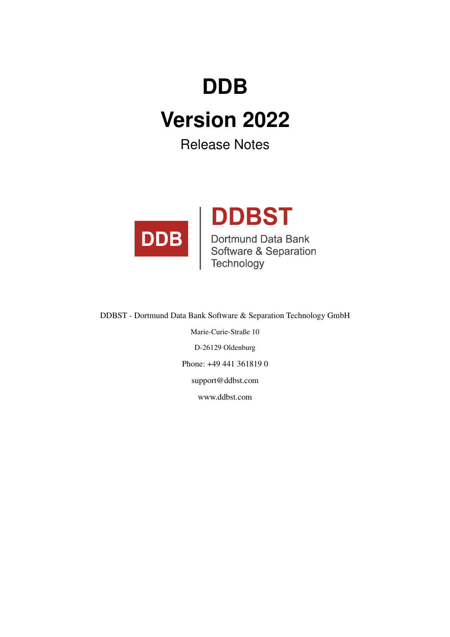# **DDB**

# **Version 2022**

Release Notes



DDBST - Dortmund Data Bank Software & Separation Technology GmbH Marie-Curie-Straße 10 D-26129 Oldenburg Phone: +49 441 361819 0 support@ddbst.com www.ddbst.com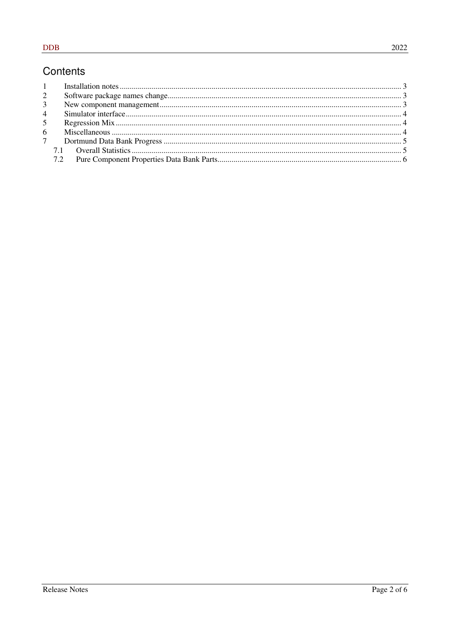#### Contents

| $\overline{2}$ |  |
|----------------|--|
| 3 <sup>1</sup> |  |
| $4 \quad$      |  |
| 5 <sup>5</sup> |  |
| 6              |  |
|                |  |
|                |  |
|                |  |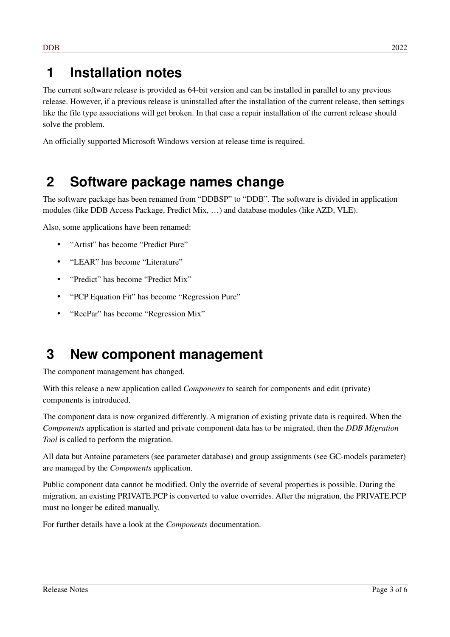### **1 Installation notes**

The current software release is provided as 64-bit version and can be installed in parallel to any previous release. However, if a previous release is uninstalled after the installation of the current release, then settings like the file type associations will get broken. In that case a repair installation of the current release should solve the problem.

An officially supported Microsoft Windows version at release time is required.

### **2 Software package names change**

The software package has been renamed from "DDBSP" to "DDB". The software is divided in application modules (like DDB Access Package, Predict Mix, …) and database modules (like AZD, VLE).

Also, some applications have been renamed:

- "Artist" has become "Predict Pure"
- "LEAR" has become "Literature"
- "Predict" has become "Predict Mix"
- "PCP Equation Fit" has become "Regression Pure"
- "RecPar" has become "Regression Mix"

#### **3 New component management**

The component management has changed.

With this release a new application called *Components* to search for components and edit (private) components is introduced.

The component data is now organized differently. A migration of existing private data is required. When the *Components* application is started and private component data has to be migrated, then the *DDB Migration Tool* is called to perform the migration.

All data but Antoine parameters (see parameter database) and group assignments (see GC-models parameter) are managed by the *Components* application.

Public component data cannot be modified. Only the override of several properties is possible. During the migration, an existing PRIVATE.PCP is converted to value overrides. After the migration, the PRIVATE.PCP must no longer be edited manually.

For further details have a look at the *Components* documentation.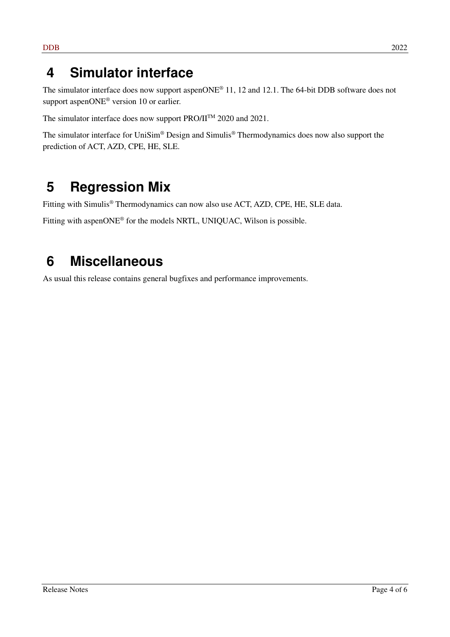#### **4 Simulator interface**

The simulator interface does now support aspenONE<sup>®</sup> 11, 12 and 12.1. The 64-bit DDB software does not support aspenONE<sup>®</sup> version 10 or earlier.

The simulator interface does now support PRO/II<sup>TM</sup> 2020 and 2021.

The simulator interface for UniSim® Design and Simulis® Thermodynamics does now also support the prediction of ACT, AZD, CPE, HE, SLE.

## **5 Regression Mix**

Fitting with Simulis® Thermodynamics can now also use ACT, AZD, CPE, HE, SLE data.

Fitting with aspenONE® for the models NRTL, UNIQUAC, Wilson is possible.

### **6 Miscellaneous**

As usual this release contains general bugfixes and performance improvements.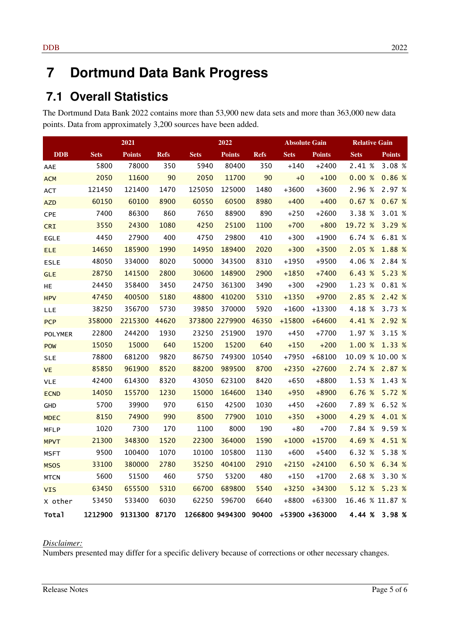# **7 Dortmund Data Bank Progress**

#### **7.1 Overall Statistics**

The Dortmund Data Bank 2022 contains more than 53,900 new data sets and more than 363,000 new data points. Data from approximately 3,200 sources have been added.

|                |             | 2021          |             | 2022        |                 |             | <b>Absolute Gain</b> |                |                 | <b>Relative Gain</b> |  |
|----------------|-------------|---------------|-------------|-------------|-----------------|-------------|----------------------|----------------|-----------------|----------------------|--|
| <b>DDB</b>     | <b>Sets</b> | <b>Points</b> | <b>Refs</b> | <b>Sets</b> | <b>Points</b>   | <b>Refs</b> | <b>Sets</b>          | <b>Points</b>  | <b>Sets</b>     | <b>Points</b>        |  |
| AAE            | 5800        | 78000         | 350         | 5940        | 80400           | 350         | $+140$               | $+2400$        | 2.41 %          | 3.08 %               |  |
| <b>ACM</b>     | 2050        | 11600         | 90          | 2050        | 11700           | 90          | $+0$                 | $+100$         | 0.00%           | 0.86 %               |  |
| ACT            | 121450      | 121400        | 1470        | 125050      | 125000          | 1480        | $+3600$              | $+3600$        | 2.96 %          | 2.97 %               |  |
| <b>AZD</b>     | 60150       | 60100         | 8900        | 60550       | 60500           | 8980        | $+400$               | $+400$         | 0.67%           | 0.67%                |  |
| <b>CPE</b>     | 7400        | 86300         | 860         | 7650        | 88900           | 890         | $+250$               | $+2600$        | 3.38 %          | 3.01 %               |  |
| <b>CRI</b>     | 3550        | 24300         | 1080        | 4250        | 25100           | 1100        | $+700$               | $+800$         | 19.72 %         | 3.29 %               |  |
| EGLE           | 4450        | 27900         | 400         | 4750        | 29800           | 410         | $+300$               | $+1900$        | 6.74 %          | 6.81 %               |  |
| <b>ELE</b>     | 14650       | 185900        | 1990        | 14950       | 189400          | 2020        | $+300$               | $+3500$        | 2.05 %          | 1.88 %               |  |
| <b>ESLE</b>    | 48050       | 334000        | 8020        | 50000       | 343500          | 8310        | $+1950$              | $+9500$        | 4.06 %          | 2.84 %               |  |
| <b>GLE</b>     | 28750       | 141500        | 2800        | 30600       | 148900          | 2900        | $+1850$              | $+7400$        | 6.43 %          | 5.23 %               |  |
| HE             | 24450       | 358400        | 3450        | 24750       | 361300          | 3490        | $+300$               | $+2900$        | 1.23 %          | 0.81 %               |  |
| <b>HPV</b>     | 47450       | 400500        | 5180        | 48800       | 410200          | 5310        | $+1350$              | $+9700$        | 2.85 %          | 2.42 %               |  |
| LLE            | 38250       | 356700        | 5730        | 39850       | 370000          | 5920        | $+1600$              | $+13300$       | 4.18 %          | 3.73 %               |  |
| <b>PCP</b>     | 358000      | 2215300       | 44620       |             | 373800 2279900  | 46350       | $+15800$             | $+64600$       | 4.41 %          | 2.92 %               |  |
| <b>POLYMER</b> | 22800       | 244200        | 1930        | 23250       | 251900          | 1970        | $+450$               | $+7700$        | 1.97 %          | 3.15 %               |  |
| POW            | 15050       | 15000         | 640         | 15200       | 15200           | 640         | $+150$               | $+200$         | 1.00 %          | 1.33 %               |  |
| <b>SLE</b>     | 78800       | 681200        | 9820        | 86750       | 749300          | 10540       | $+7950$              | $+68100$       | 10.09 % 10.00 % |                      |  |
| <b>VE</b>      | 85850       | 961900        | 8520        | 88200       | 989500          | 8700        | $+2350$              | $+27600$       | 2.74 %          | 2.87 %               |  |
| VLE            | 42400       | 614300        | 8320        | 43050       | 623100          | 8420        | $+650$               | +8800          | 1.53 %          | 1.43 %               |  |
| <b>ECND</b>    | 14050       | 155700        | 1230        | 15000       | 164600          | 1340        | $+950$               | $+8900$        | 6.76 %          | 5.72 %               |  |
| <b>GHD</b>     | 5700        | 39900         | 970         | 6150        | 42500           | 1030        | $+450$               | $+2600$        | 7.89 %          | 6.52 %               |  |
| <b>MDEC</b>    | 8150        | 74900         | 990         | 8500        | 77900           | 1010        | $+350$               | $+3000$        | 4.29 %          | 4.01 %               |  |
| <b>MFLP</b>    | 1020        | 7300          | 170         | 1100        | 8000            | 190         | $+80$                | $+700$         | 7.84 %          | 9.59 %               |  |
| <b>MPVT</b>    | 21300       | 348300        | 1520        | 22300       | 364000          | 1590        | $+1000$              | $+15700$       | 4.69 %          | 4.51 %               |  |
| MSFT           | 9500        | 100400        | 1070        | 10100       | 105800          | 1130        | $+600$               | $+5400$        | 6.32 %          | 5.38 %               |  |
| <b>MSOS</b>    | 33100       | 380000        | 2780        | 35250       | 404100          | 2910        | $+2150$              | $+24100$       | 6.50 %          | 6.34 %               |  |
| <b>MTCN</b>    | 5600        | 51500         | 460         | 5750        | 53200           | 480         | $+150$               | $+1700$        | 2.68 %          | 3.30 %               |  |
| <b>VIS</b>     | 63450       | 655500        | 5310        | 66700       | 689800          | 5540        | $+3250$              | $+34300$       | 5.12 %          | 5.23 %               |  |
| X other        | 53450       | 533400        | 6030        | 62250       | 596700          | 6640        | +8800                | $+63300$       | 16.46 % 11.87 % |                      |  |
| Total          | 1212900     | 9131300       | 87170       |             | 1266800 9494300 | 90400       |                      | +53900 +363000 | 4.44 %          | 3.98 %               |  |

#### *Disclaimer:*

Numbers presented may differ for a specific delivery because of corrections or other necessary changes.